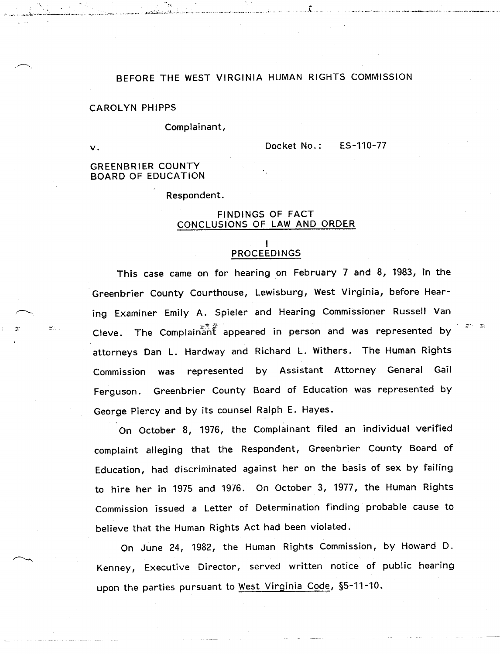# BEFORE THE WEST VIRGINIA HUMAN RIGHTS COMMISSION

### **CAROLYN PHIPPS**

#### Complainant,

 $\mathsf{v}$  .

ES-110-77 Docket No.:

GREENBRIER COUNTY BOARD OF EDUCATION

Respondent.

## FINDINGS OF FACT CONCLUSIONS OF LAW AND ORDER

## I <u>PROCEEDINGS</u>

This case came on for hearing on February 7 and 8, 1983, in the Greenbrier County Courthouse, Lewisburg, West Virginia, before Hearing Examiner Emily A. Spieler and Hearing Commissioner Russell Van Cleve. The Complainant appeared in person and was represented by attorneys Dan L. Hardway and Richard L. Withers. The Human Rights by Assistant Attorney General Gail represented Commission was Ferguson. Greenbrier County Board of Education was represented by George Piercy and by its counsel Ralph E. Hayes.

On October 8, 1976, the Complainant filed an individual verified complaint alleging that the Respondent, Greenbrier County Board of Education, had discriminated against her on the basis of sex by failing to hire her in 1975 and 1976. On October 3, *1977,* the Human Rights Commission issued a Letter of Determination finding probable cause to believe that the Human Rights Act had been violated.

On June 24, 1982, the Human Rights Commission, by Howard D.Kenney, Executive Director, served written notice of public hearing upon the parties pursuant to West Virginia Code, §5-11-10.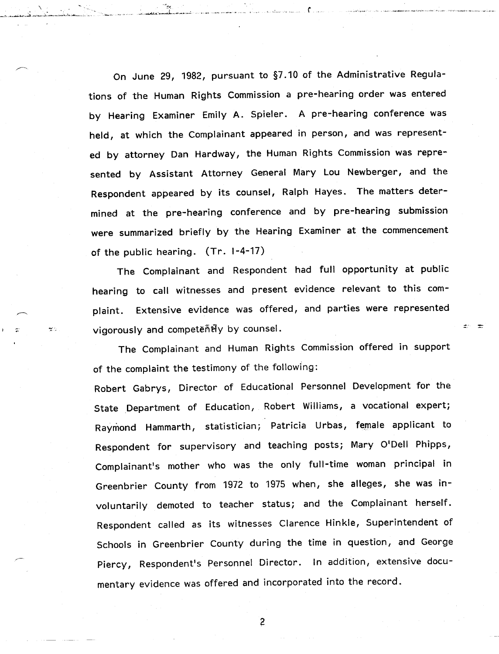On June 29, 1982, pursuant to §7.10 of the Administrative Regulations of the Human Rights Commission a pre-hearing order was entered by Hearing Examiner Emily A. Spieler. A pre-hearing conference was held, at which the Complainant appeared in person, and was represented by attorney Dan Hardway, the Human Rights Commission was represented by Assistant Attorney General Mary Lou Newberger, and the Respondent appeared by its counsel, Ralph Hayes. The matters determined at the pre-hearing conference and by pre-hearing submission were summarized briefly by the Hearing Examiner at the commencement of the public hearing. (Tr. 1-4-17)

The Complainant and Respondent had full opportunity at public hearing to call witnesses and present evidence relevant to this complaint. Extensive evidence was offered, and parties were represented vigorously and competently by counsel.

The Complainant and Human Rights Commission offered in support of the complaint the testimony of the following:

Robert Gabrys, Director of Educational Personnel Development for the State Department of Education, Robert Williams, a vocational expert; Raymond Hammarth, statistician; Patricia Urbas, female applicant to Respondent for supervisory and teaching posts; Mary O'Dell Phipps, Complainant's mother who was the only full-time woman principal in Greenbrier County from 1972 to 1975 when, she alleges, she was involuntarily demoted to teacher status; and the Complainant herself. Respondent called as its witnesses Clarence Hinkle, Superintendent of Schools in Greenbrier County during the time in question, and George Piercy, Respondent's Personnel Director. In addition, extensive documentary evidence was offered and incorporated into the record.

 $\overline{c}$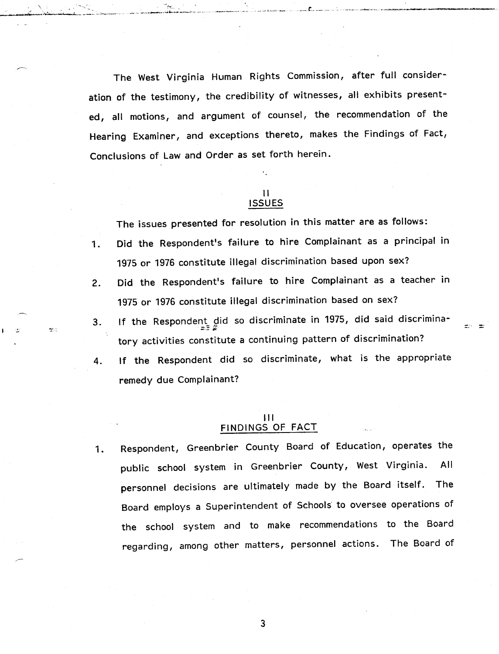The West Virginia Human Rights Commission, after full consideration of the testimony, the credibility of witnesses, all exhibits presented, all motions, and argument of counsel, the recommendation of the Hearing Examiner, and exceptions thereto, makes the Findings of Fact, Conclusions of Law and Order as set forth herein.

\ . . - *\_.....-.\_i..\_~~\_..... ~.... ~..:.~, \_\_*.'-'-=--

 $\frac{1}{2}$ 

### II ISSUES

The issues presented for resolution in this matter are as follows:

- 1. Did the Respondent's failure to hire Complainant as a principal in 1975 or 1976 constitute illegal discrimination based upon sex?
- 2. Did the Respondent's failure to hire Complainant as a teacher in 1975 or 1976 constitute illegal discrimination based on sex?
- f the Respondent did so discriminate in 1975, did said discrimin 3. tory activities constitute a continuing pattern of discrimination?
- 4. If the Respondent did so discriminate, what is the appropriate remedy due Complainant?

## $|1|$ FINDINGS OF FACT

1. Respondent, Greenbrier County Board of Education, operates the public school system in Greenbrier County, West Virginia. All personnel decisions are ultimately made by the Board itself. The Board employs a Superintendent of Schools' to oversee operations of the school system and to make recommendations to the Boardregarding, among other matters, personnel actions. The Board of

 $\mathbf{3}$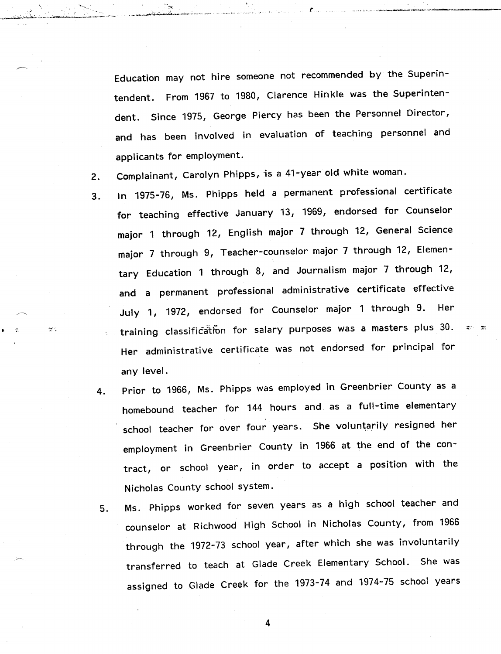Education may not hire someone not recommended by the Superintendent. From 1967 to 1980, Clarence Hinkle was the Superintendent. Since 1975, George Piercy has been the Personnel Director, and has been involved in evaluation of teaching personnel and applicants for employment.

2. Complainant, Carolyn Phipps, is a 41-year old white woman.

 $\mathcal{D}^{\star}$  .

- 3. In 1975-76, Ms. Phipps held a permanent professional certificate for teaching effective January 13, 1969, endorsed for Counselor major 1 through 12, English major 7 through 12, General Science major 7 through 9, Teacher-counselor major 7 through 12, Elementary Education 1 through 8, and Journalism major 7 through 12, and a permanent professional administrative certificate effective July 1, 1972, endorsed for Counselor major 1 through 9. Her training classification for salary purposes was a masters plus 30. Her administrative certificate was not endorsed for principal for any level.
- 4. Prior to 1966, Ms. Phipps was employed in Greenbrier County as a homebound teacher for 144 hours and as a full-time elementary school teacher for over four years. She voluntarily resigned her employment in Greenbrier County in 1966 at the end of the contract, or school year, in order to accept a position with the Nicholas County school system.
- 5. Ms. Phipps worked for seven years as a high school teacher and counselor at Richwood High School in Nicholas County, from 1966 through the 1972-73 school year, after which she was involuntarily transferred to teach at Glade Creek Elementary School. She wasassigned to Glade Creek for the 1973-74 and 1974-75 school years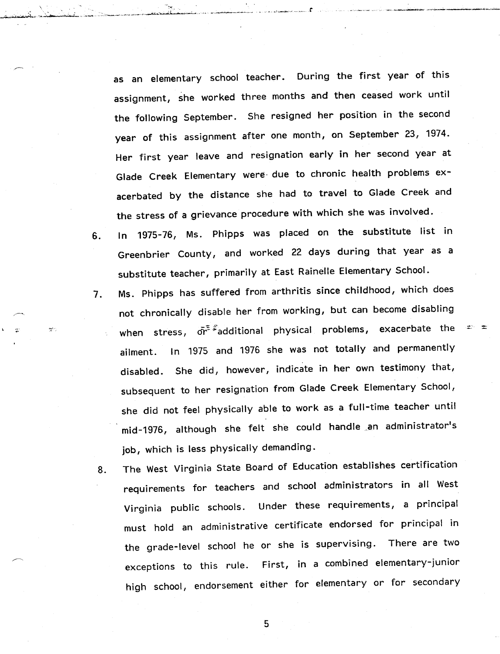as an elementary school teacher. During the first year of this assignment, she worked three months and then ceased work until the following September. She resigned her position in the second year of this assignment after one month, on September 23, 1974. Her first year leave and resignation early in her second year at Glade Creek Elementary were· due to chronic health problems exacerbated by the distance she had to travel to Glade Creek and the stress of a grievance procedure with which she was involved.

~~":'.'.~~~;"" ..

والجوه

- 6. In 1975-76, Ms. Phipps was placed on the substitute list in Greenbrier County, and worked 22 days during that year as a substitute teacher, primarily at East Rainelle Elementary School.
- Ms. Phipps has suffered from arthritis since childhood, which does 7. not chronically disable her from working, but can become disabling when stress,  $\vec{\sigma}$ <sup>\* \*</sup>additional physical problems, exacerbate the In 1975 and 1976 she was not totally and permanently ailment. disabled. She did, however, indicate in her own testimony that, subsequent to her resignation from Glade Creek Elementary School, she did not feel physically able to work as a full-time teacher until mid-1976, although she felt she could handle ,an administrator's job, which is less physically demanding.
- 8. The West Virginia State Board of Education establishes certification requirements for teachers and school administrators in all West Virginia public schools. Under these requirements, a principal must hold an administrative certificate endorsed for principal in the grade-level school he or she is supervising. There are two exceptions to this rule. First, in a combined elementary-juniorhigh school, endorsement either for elementary or for secondary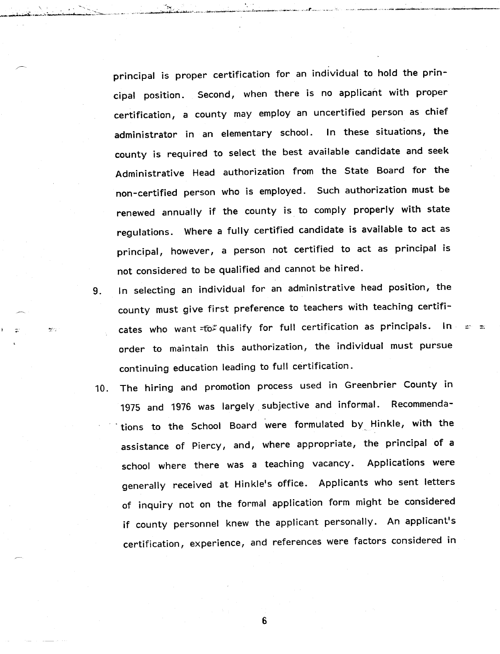principal is proper certification for an individual to hold the principal position. Second, when there is no applicant with proper certification, a county may employ an uncertified person as chief administrator in an elementary school. In these situations, the county is required to select the best available candidate and seek Administrative Head authorization from the State Board for the non-certified person who is employed. Such authorization must be renewed annually if the county is to comply properly with state regulations. Where a fully certified candidate is available to act as principal, however, a person not certified to act as principal is not considered to be qualified and cannot be hired.

- 9. In selecting an individual for an administrative head position, the county must give first preference to teachers with teaching certificates who want =to qualify for full certification as principals. In order to maintain this authorization, the individual must pursue continuing education leading to full certification.
- 10. The hiring and promotion process used in Greenbrier County in 1975 and 1976 was largely subjective and informal. Recommenda- . tions to the School Board were formulated by. Hinkle, with the assistance of Piercy, and, where appropriate, the principal of a school where there was a teaching vacancy. Applications were generally received at Hinkle's office. Applicants who sent letters of inquiry not on the formal application form might be considered if county personnel knew the applicant personally. An applicant's certification, experience, and references were factors considered in

 $6\phantom{1}$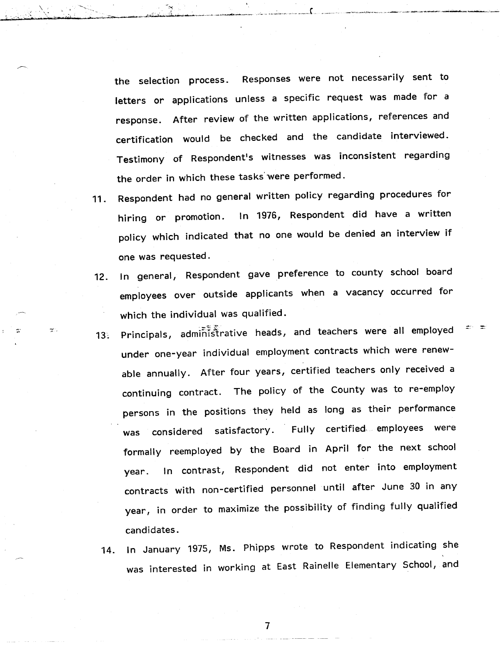the selection process. Responses were not necessarily sent to letters or applications unless a specific request was made for a response. After review of the written applications, references and certification would be checked and the candidate interviewed. Testimony of Respondent's witnesses was inconsistent regarding the order in which these tasks'were performed.

"";,,~.~..:.. . \_I ~,~.,,: ::;.'.--~~'''''-''':~''~'''C'''\_'\_-''''''''''''''''''';'''''\_''''\_''' :\_~...•.~.,..:...:" ••,.,\_\_.•.\_\_, ..( ..\_

- 11 . Respondent had no general written policy regarding procedures for hiring or promotion. In 1976, Respondent did have a written policy which indicated that no one would be denied an interview if one was requested.
- 12. In general, Respondent gave preference to county school board employees over outside applicants when a vacancy occurred for which the individual was qualified.
- 13. Principals, administrative heads, and teachers were all employed under one-year individual employment contracts which were renewable annually. After four years, certified teachers only received a continuing contract. The policy of the County was to re-employ persons in the positions they held as long as their performance considered satisfactory. Fully certified employees were **was** formally reemployed by the Board in April for the next school year. In contrast, Respondent did not enter into employment contracts with non-certified personnel until after June 30 in any year, in order to maximize the possibility of finding fully qualified candidates.
	- 14. In January 1975, Ms. Phipps wrote to Respondent indicating she was interested in working at East Rainelle Elementary School, and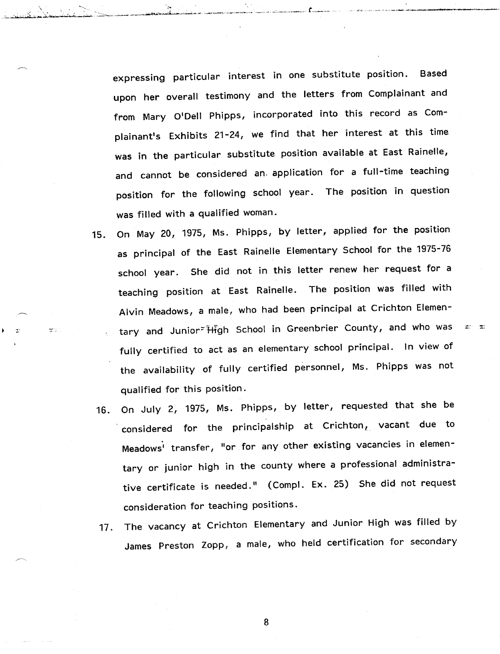expressing particular interest in one substitute position. Based upon her overall testimony and the letters from Complainant and from Mary O'Dell Phipps, incorporated into this record as Complainant's Exhibits 21-24, we find that her interest at this time was in the particular substitute position available at East Rainelle, and cannot be considered an. application for a full-time teaching position for the following school year. The position in question was filled with a qualified woman.

15. On May 20, 1975, Ms. Phipps, by letter, applied for the position as principal of the East Rainelle Elementary School for the 1975-76 school year. She did not in this letter renew her request for a teaching position at East Rainelle. The position was filled with Alvin Meadows, a male, who had been principal at Crichton Elementary and Junior<sup>-</sup> High School in Greenbrier County, and who was fully certified to act as an elementary school principal. In view of the availability of fully certified personnel, Ms. Phipps was not qualified for this position.

age of

- 16. On July 2, 1975, Ms. Phipps, by letter, requested that she be considered for the principalship at  $\textsf{Crichton}_{t}$  vacant due to Meadows' transfer, "or for any other existing vacancies in elementary or junior high in the county where a professional administrative certificate is needed." (Compl. Ex. 25) She did not request consideration for teaching positions.
- 17. The vacancy at Crichton Elementary and Junior High was filled by James Preston Zopp, a male, who held certification for secondary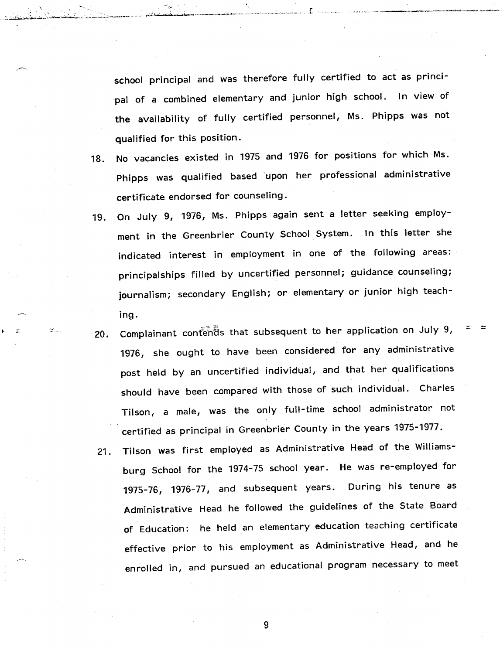school principal and was therefore fully certified to act as principal of a combined elementary and junior high school. In view of the availability of fully certified personnel, Ms. Phipps was not qualified for this position.

 $\sim$   $\sim$   $\sim$   $\sim$   $\sim$   $\sim$   $\sim$   $\sim$ 

,.;:\_·~t,;,,:,-,-\*~-;"~~~:,~~~~~,-,,-~~'=-:': ..:,~lOo\_;'''' •••. *,~t....•." "L*

- 18. No vacancies existed in 1975 and 1976 for positions for which Ms. Phipps was qualified based 'upon her professional administrative certificate endorsed for counseling.
- 19. On July 9, 1976, Ms. Phipps again sent a letter seeking employment in the Greenbrier County School System. In this letter she indicated interest in employment in one of the following areas: principalships filled by uncertified personnel; guidance counseling; journalism; secondary English; or elementary or junior high teaching.
- 20. Complainant cont $\tilde{\tilde{\mathbf{e}}}$ nds that subsequent to her application on July 9, 1976, she ought to have been considered for any administrative post held by an uncertified individual, and that her qualifications should have been compared with those of such individual. Charles Tilson, a male, was the only full-time school administrator not certified as principal in Greenbrier County in the years 1975-1977.
	- 21. Tilson was first employed as Administrative Head of the Williamsburg School for the 1974-75 school year. He was re-employed for 1975-76, 1976-77, and subsequent years. During his tenure as Administrative Head he followed the guidelines of the State Board of Education: he held an elementary education teaching certificate effective prior to his employment as Administrative Head, and heenrolled in, and pursued an educational program necessary to meet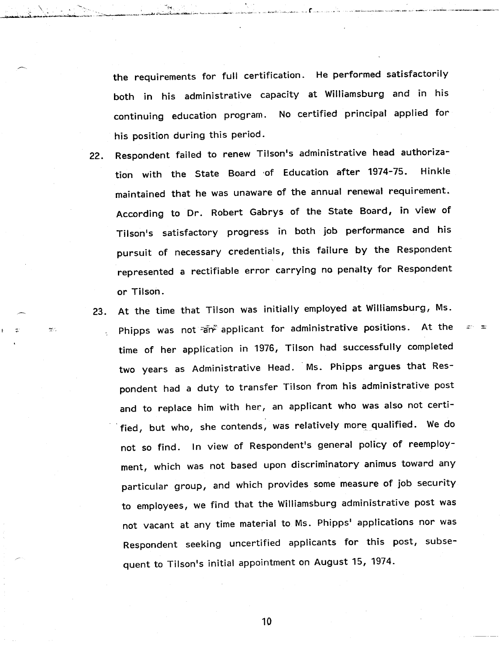the requirements for full certification. He performed satisfactorily both in his administrative capacity at Williamsburg and in his continuing education program. No certified principal applied for his position during this period.

\ ~ *~i4i~"""~--~~"'''-~'''* <sup>&</sup>lt; ~.:,:"-c~\_~ ~.;',4 .•••·•••~L~..i·, ~~\_.\_\_",,",", \_\_~>,\_\_ .,,,,,,,,,,,-

er.

- Respondent failed to renew Tilson's administrative head authoriza- $22.$ tion with the State Board of Education after 1974-75. Hinkle maintained that he was unaware of the annual renewal requirement. According to Dr. Robert Gabrys of the State Board, in view of Tilson's satisfactory progress in both job performance and his pursuit of necessary credentials, this failure by the Respondent represented a rectifiable error carrying no penalty for Respondent or Tilson.
- At the time that Tilson was initially employed at Williamsburg, Ms. 23. Phipps was not an applicant for administrative positions. At the time of her application in 1976, Tilson had successfully completed two years as Administrative Head. Ms. Phipps argues that Respondent had a duty to transfer Tilson from his administrative post and to replace him with her, an applicant who was also not certified, but who, she contends, was relatively more, qualified. We do not so find. In view of Respondent's general policy of reemployment, which was not based upon discriminatory animus toward any particular group, and which provides some measure of job security to employees, we find that the Williamsburg administrative post was not vacant at any time material to Ms. Phipps' applications nor was Respondent seeking uncertified applicants for this post, subsequent to Tilson's initial appointment on August 15, 1974.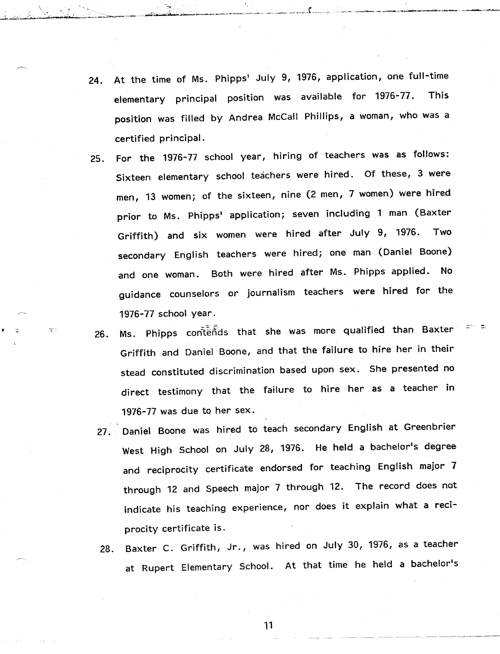24. At the time of Ms. Phipps' July 9, 1976, application, one full-time elementary principal position was available for 1976-77. This position was filled by Andrea McCall Phillips, a woman, who was a certified principal.

 $\frac{1}{2}$ 

wan di wang di kacamatan na kata di kacamatan kata manga kacamatan Kali da Manasi mata kacamatan na kacamatan manga

- 25. For the 1976-77 school year, hiring of teachers was as follows: Sixteen elementary school teachers were hired. Of these, 3 were men, 13 women; of the sixteen, nine (2 men, 7 women) were hired prior to Ms. Phipps' application; seven including 1 man (Baxter Griffith) and six women were hired after July 9, 1976. Two secondary English teachers were hired; one man (Daniel Boone) and one woman. Both were hired after Ms. Phipps applied. No guidance counselors or journalism teachers were hired for the 1976-77 school year.
- Ms. Phipps contentes that she was more qualified than Baxter  $26.$ Griffith and Daniel Boone, and that the failure to hire her in their stead constituted discrimination based upon sex. She presented no direct testimony that the failure to hire her as a teacher in 1976-77 was due to her sex.
- 27. Daniel Boone was hired to teach secondary English at Greenbrier West High School on July 28, 1976. He held a bachelor's degree and reciprocity certificate endorsed for teaching English major 7 through 12 and Speech major 7 through 12. The record does not indicate his teaching experience, nor does it explain what a reciprocity certificate is.
- 28. Baxter C. Griffith, Jr., was hired on July 30, 1976, as a teacherat Rupert Elementary School. At that time he held a bachelor's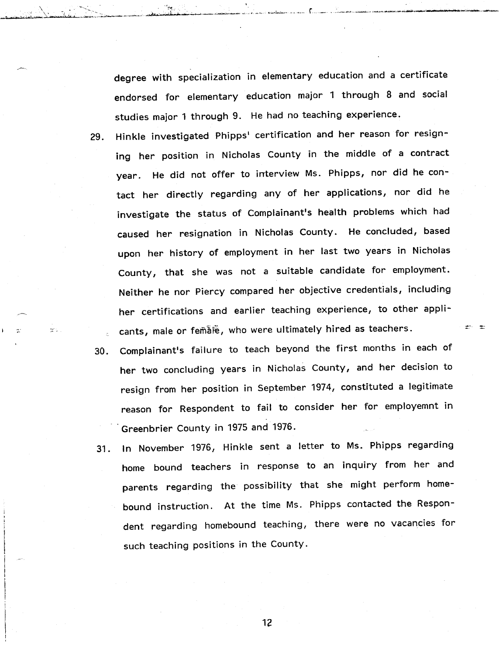degree with specialization in elementary education and a certificate endorsed for elementary education major 1 through 8 and social studies major 1 through 9. He had no teaching experience.

\. . ""! : .....;.·::C'it"iii~·~·.\'-I~'2>'';·\_,~l'~'':J' ,....:a..~~ .•,,::.;.;...~ ..•.,--,,'~~. ·••••~f" .••bj!j· • '~--~'~';"""'-

est il.

- Hinkle investigated Phipps' certification and her reason for resign-29. ing her position in Nicholas County in the middle of a contract year. He did not offer to interview Ms. Phipps, nor did he contact her directly regarding any of her applications, nor did he investigate the status of Complainant's health problems which had caused her resignation in Nicholas County. He concluded, based upon her history of employment in her last two years in Nicholas County, that she was not a suitable candidate for employment. Neither he nor Piercy compared her objective credentials, including her certifications and earlier teaching experience, to other applicants, male or femate, who were ultimately hired as teachers.
- Complainant's failure to teach beyond the first months in each of  $30.$ her two concluding years in Nicholas County, and her decision to resign from her position in September 1974, constituted a legitimate reason for Respondent to fail to consider her for employemnt in .. Greenbrier County in 1975 and 1976.

asi an

31. In November 1976, Hinkle sent a letter to Ms. Phipps regarding home bound teachers in response to an inquiry from her and parents regarding the possibility that she might perform homebound instruction. At the time Ms. Phipps contacted the Respondent regarding homebound teaching, there were no vacancies for such teaching positions in the County.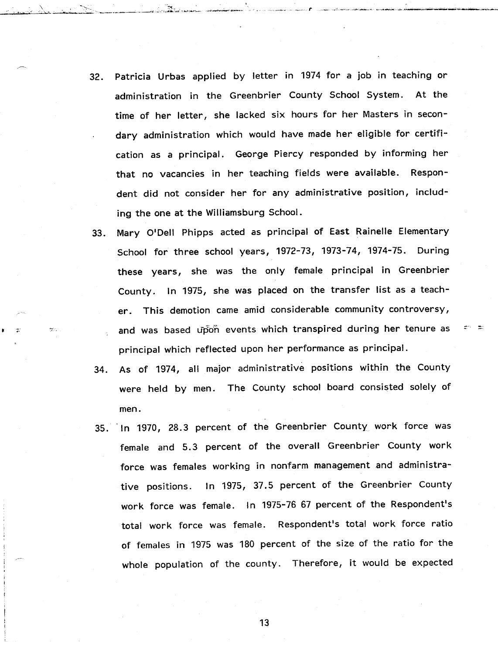- 32. Patricia Urbas applied by letter in 1974 for a job in teaching or administration in the Greenbrier County School System. At the time of her letter, she lacked six hours for her Masters in secondary administration which would have made her eligible for certification as a principal. George Piercy responded by informing her that no vacancies in her teaching fields were available. Respondent did not consider her for any administrative position, including the one at the Williamsburg School.
- 33. Mary O'Dell Phipps acted as principal of East Rainelle Elementary School for three school years, 1972-73, 1973-74, 1974-75. During these years, she was the only female principal in Greenbrier County. In 1975, she was placed on the transfer list as a teacher. This demotion came amid considerable community controversy, and was based upon events which transpired during her tenure as principal which reflected upon her performance as principal.
- 34. As of 1974, all major administrative positions within the County were held by men. The County school board consisted solely of men.
- 35. In 1970, 28.3 percent of the Greenbrier County work force was female and 5.3 percent of the overall Greenbrier County work force was females working in nonfarm management and administrative positions. In 1975, 37.5 percent of the Greenbrier County work force was female. In 1975-76 67 percent of the Respondent's total work force was female. Respondent's total work force ratio of females in 1975 was 180 percent of the size of the ratio for the whole population of the county. Therefore, it would be expected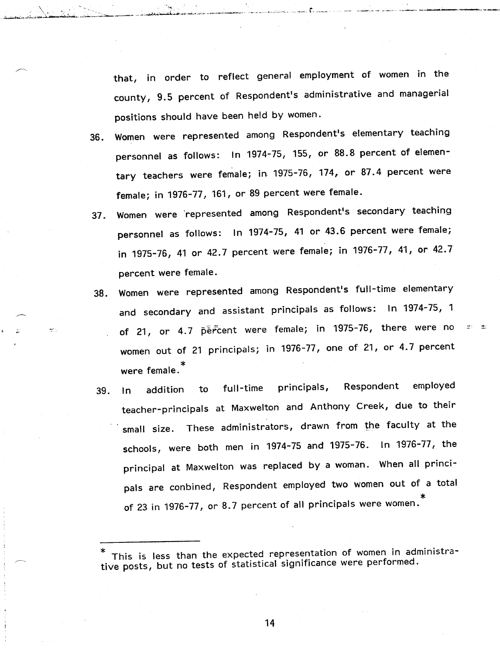that, in order to reflect general employment of women in the county, 9.5 percent of Respondent's administrative and managerial positions should have been held by women.

\ , ~ ~..;~~~~~~~\_.~.;~~-~~::--\_-----\_ ..~~----, .•.••...•.",;,;~,,,.--~\_..... ~\_..,.... ..;.~-"',.

- 36. Women were represented among Respondent's elementary teaching personnel as follows: In 1974-75, 155, or 88.8 percent of elementary teachers were female; in. 1975-76, 174, or 87.4 percent were female; in 1976-77, 161, or 89 percent were female.
- Women were represented among Respondent's secondary teaching  $37.$ personnel as follows: In 1974-75, 41 or 43.6 percent were female; in 1975-76, 41 or 42.7 percent were female; in 1976-77, 41, or 42.7 percent were female.
- 38. Women were represented among Respondent's full-time elementary and secondary and assistant principals as follows: In 1974-75, 1 of 21, or 4.7 percent were female; in 1975-76, there were no women out of 21 principals; in 1976-77, one of 21, or 4.7 percent were female. \*
- employed Respondent full-time principals, addition to 39.  $In$ teacher-principals at Maxwelton and Anthony Creek, due to their small size. These administrators, drawn from the faculty at the schools, were both men in 1974-75 and 1975-76. In 1976-77, the principal at Maxwelton was replaced by a woman. When all principals are conbined, Respondent employed two women out of a total of 23 in 1976-77, or 8.7 percent of all principals were women. \*

This is less than the expected representation of women in administrative posts, but no tests of statistical significance were performed.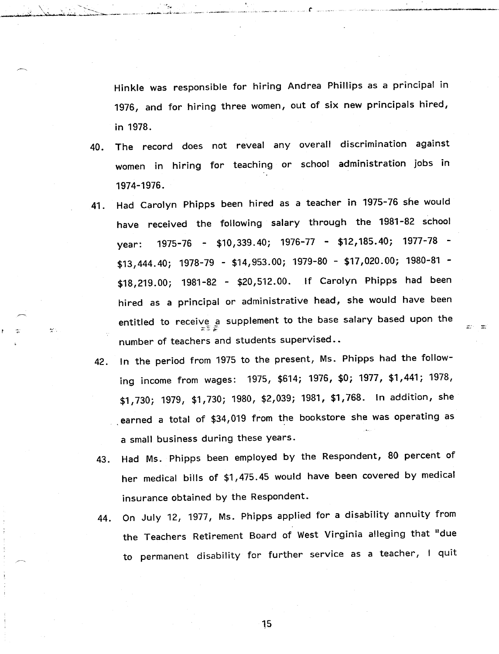Hinkle was responsible for hiring Andrea Phillips as a principal in 1976, and for hiring three women, out of six new principals hired, in 1978.

- 40. The record does not reveal any overall discrimination against women in hiring for teaching or school administration jobs in 1974-1976.
- 41. Had Carolyn Phipps been hired as a teacher in 1975-76 she would have received the following salary through the 1981-82 school year: 1975-76 - \$10,339.40; 1976-77 - \$12,185.40; 1977-78 - \$13,444.40; 1978-79 - \$14,953.00; 1979-80 - \$17,020.00; 1980-81 - \$18,219.00; 1981-82 - \$20,512.00. If Carolyn Phipps had been hired as a principal or administrative head, she would have been entitled to receive a supplement to the base salary based upon th number of teachers and students supervised..

يأرجعه

- 42. In the period from 1975 to the present, Ms. Phipps had the following income from wages: 1975, \$614; 1976, \$0; 1977, \$1,441; 1978, \$1,730; 1979, \$1,730; 1980, \$2,039; 1981, \$1,768. In addition, she . earned a total of \$34,019 from the bookstore she was operating as a small business during these years.
- 43. Had Ms. Phipps been employed by the Respondent, 80 percent of her medical bills of \$1,475.45 would have been covered by medical insurance obtained by the Respondent.
- 44. On July 12, 1977, Ms. Phipps applied for a disability annuity from the Teachers Retirement Board of West Virginia alleging that "dueto permanent disability for further service as a teacher, I quit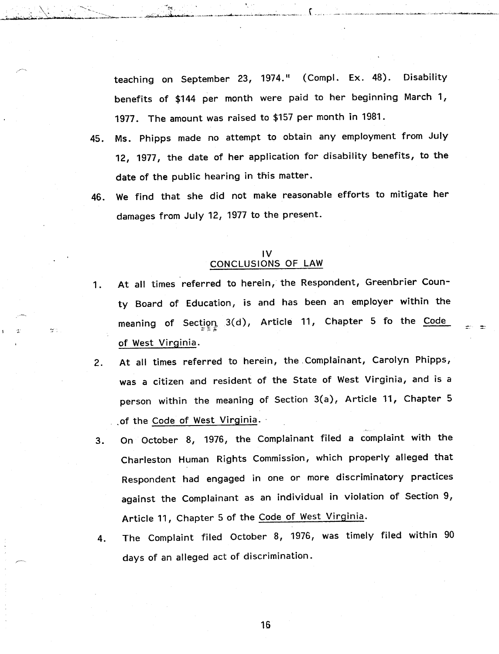teaching on September 23, 1974." (Compl. Ex. 48). Disability benefits of \$144 per month were paid to her beginning March 1, 1977. The amount was raised to \$157 per month in 1981.

- 45. Ms. Phipps made no attempt to obtain any employment from July 12, 1977, the date of her application for disability benefits, to the date of the public hearing in this matter.
- 46. We find that she did not make reasonable efforts to mitigate her damages from July 12, 1977 to the present.

### IV CONCLUSIONS OF LAW

- 1. At all times referred to herein, the Respondent, Greenbrier County Board of Education, is and has been an employer within the neaning of Section 3(d), Article 11, Chapter 5 fo the <u>Code</u> of West Virginia.
- 2. At all times referred to herein, the .Complainant, Carolyn Phipps, was a citizen and resident of the State of West Virginia, and is a person within the meaning of Section 3(a), Article 11, Chapter 5 .of the Code of West Virginia.
- 3. On October 8, 1976, the Complainant filed a complaint with the Charleston Human Rights Commission, which properly alleged that Respondent had engaged in one or more discriminatory practices against the Complainant as an individual in violation of Section 9, Article 11, Chapter 5 of the Code of West Virginia.
- 4. The Complaint filed October 8, 1976, was timely filed within 90 days of an alleged act of discrimination.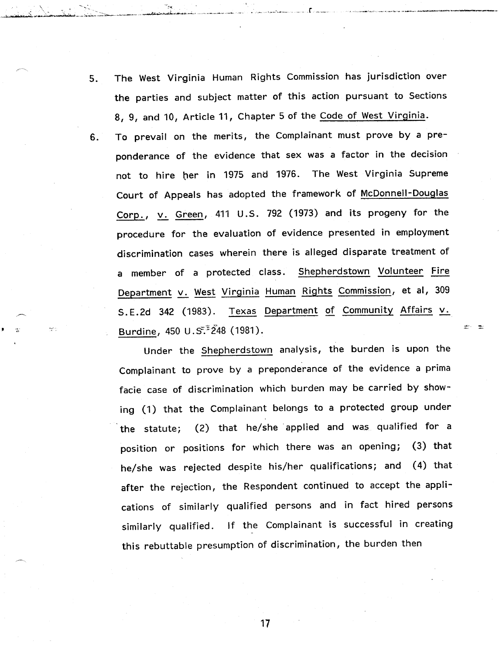The West Virginia Human Rights Commission has jurisdiction over 5. the parties and subject matter of this action pursuant to Sections 8, 9, and 10, Article 11, Chapter 5 of the Code of West Virginia.

 $\Delta \times \mathbb{R}^2$  . In the set of  $\mathbb{R}^2$ 

..• <sup>~</sup>' .. '0:5 .•. , **tt .~~***\_<;J""~\_,\_:,,,:,~-\_:,;;::..-- ...•...•..... \_-\_.-, ~~ .••....•. '""'......;.~\_..\_.•..,~.-....,.* "w-'. '.'-'

6. To prevail on the merits, the Complainant must prove by a preponderance of the evidence that sex was a factor in the decision not to hire her in 1975 and 1976. The West Virginia Supreme Court of Appeals has adopted the framework of McDonnell-Douglas Corp., v. Green, 411 U.S. 792 (1973) and its progeny for the procedure for the evaluation of evidence presented in employment discrimination cases wherein there is alleged disparate treatment of a member of a protected class. Shepherdstown Volunteer Fire Department v. West Virginia Human Rights Commission, et al, 309 S.E.2d 342 (1983). Texas Department of Community Affairs v. Burdine, 450 U.S<sup> $\bar{z}$ 248 (1981).</sup>

Under the Shepherdstown analysis, the burden is upon the Complainant to prove by a preponderance of the evidence a prima facie case of discrimination which burden may be carried by showing (1) that the Complainant belongs to a protected group under the statute; (2) that he/she· applied and was qualified for a position or positions for which there was an opening; (3) that he/she was rejected despite his/her qualifications; and (4) that after the rejection, the Respondent continued to accept the applications of similarly qualified persons and in fact hired persons similarly qualified. If the Complainant is successful in creating this rebuttable presumption of discrimination, the burden then

⊯o me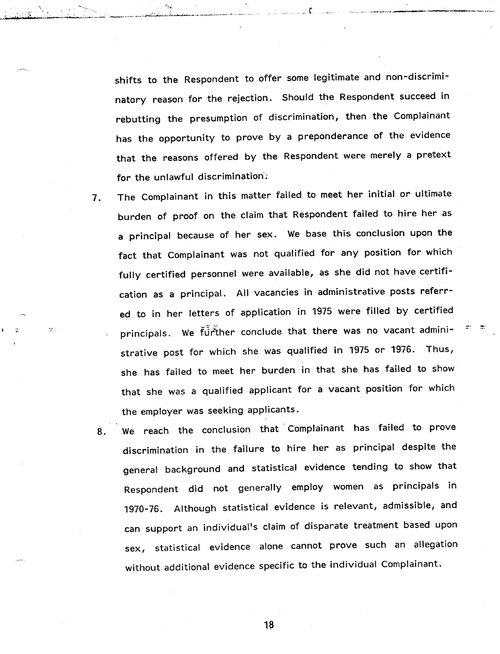shifts to the Respondent to offer some legitimate and non-discriminatory reason for the rejection. Should the Respondent succeed in rebutting the presumption of discrimination, then the Complainant has the opportunity to prove by a preponderance of the evidence that the reasons offered by the Respondent were merely a pretext for the unlawful discrimination';

\ ~.  $-\frac{1}{2}$  ,  $-\frac{1}{2}$  ,  $-\frac{1}{2}$  ,  $-\frac{1}{2}$  ,  $-\frac{1}{2}$  ,  $-\frac{1}{2}$  ,  $-\frac{1}{2}$  ,  $-\frac{1}{2}$  ,  $-\frac{1}{2}$  ,  $-\frac{1}{2}$  ,  $-\frac{1}{2}$  ,  $-\frac{1}{2}$  ,  $-\frac{1}{2}$  ,  $-\frac{1}{2}$  ,  $-\frac{1}{2}$  ,  $-\frac{1}{2}$  ,  $-\frac{1}{2}$  ,  $-\frac{1}{2}$  ,  $-\frac{1$ 

- 7. The Complainant in this matter failed to meet her initial or ultimate burden of proof on the claim that Respondent failed to hire her as a principal because of her sex. We base this conclusion upon the fact that Complainant was not qualified for any position for which fully certified personnel were available, as she did not have certification as a principal. All vacancies in administrative posts referred to in her letters of application in 1975 were filled by certified principals. We further conclude that there was no vacant administrative post for which she was qualified in 1975 or 1976. Thus, she has failed to meet her burden in that she has failed to show that she was a qualified applicant for a vacant position for which the employer was seeking applicants.
- 8. We reach the conclusion that Complainant has failed to prove discrimination in the failure to hire her as principal despite the general background and statistical evidence tending to show that Respondent did not generally employ women as principals in 1970-76. Although statistical evidence is relevant, admissible, andcan support an individual's claim of disparate treatment based upon sex, statistical evidence alone cannot prove such an allegation without additional evidence specific to the individual Complainant.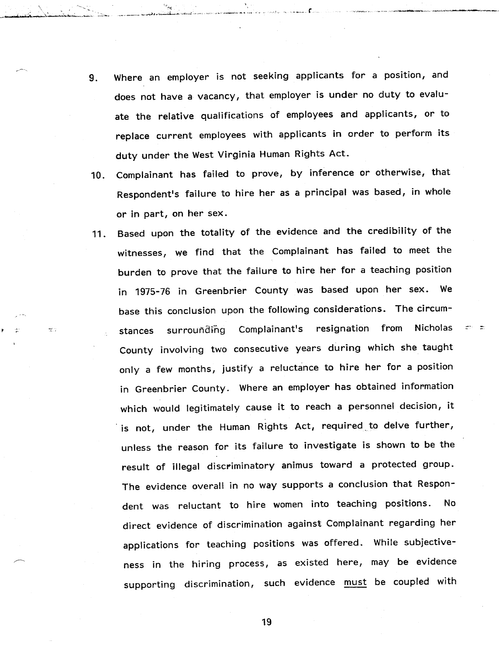9. Where an employer is not seeking applicants for a position, and does not have a vacancy, that employer is under no duty to evaluate the relative qualifications of employees and applicants, or to replace current employees with applicants in order to perform its duty under the West Virginia Human Rights Act.

\ ,~. -- - ~"':'''';

والبيه

-,,~~\.~ u;.•..•.~\_..~~" ,..::\_\_ ,\_.,, ~.,,\_ *"-<~I"'~~·"'''~'''':'.,~,.·.·,.,"-", "-~.'.-"--".",-",,,, .,- ,."~'*

- 10. Complainant has failed to prove, by inference or otherwise, that Respondent's failure to hire her as a principal was based, in whole or in part, on her sex.
- 11. Based upon the totality of the evidence and the credibility of the witnesses, we find that the Complainant has failed to meet the burden to prove that the failure to hire her for a teaching position in 1975-76 in Greenbrier County was based upon her sex. We base this conclusion upon the following considerations. The circumsurrounding Complainant's resignation from Nicholas stances County involving two consecutive years during which she taught only a few months, justify a reluctance to hire her for a position in Greenbrier County. Where an employer has obtained information which would legitimately cause it to reach a personnel decision, it is not, under the Human Rights Act, required to delve further, unless the reason for its failure to investigate is shown to be the result of illegal discriminatory animus toward a protected group. The evidence overall in no way supports a conclusion that Respondent was reluctant to hire women into teaching positions. No direct evidence of discrimination against Complainant regarding her applications for teaching positions was offered. While subjectiveness in the hiring process, as existed here, may be evidence supporting discrimination, such evidence must be coupled with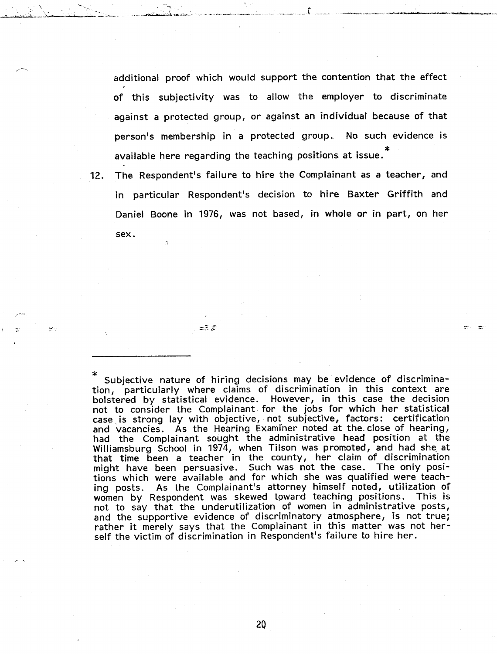additional proof which would support the contention that the effect of this subjectivity was to allow the employer to discriminate against a protected group, or against an individual because of that person's membership in a protected group. No such evidence is available here regarding the teaching positions at issue. \*

12. The Respondent's failure to hire the Complainant as a teacher, and in particular Respondent's decision to hire Baxter Griffith and Daniel Boone in 1976, was not based, in whole or in part, on her sex.

 $= 7.5$ 

\* Subjective nature of hiring decisions may be evidence of discrimination, particularly where claims of discrimination in this context are bolstered by statistical evidence. However, in this case the decision not to consider the Complainant. for the jobs for which her statistical case, is strong lay with objective,· not subjective, factors: certification and vacancies. As the Hearing Examiner noted at the close of hearing, had the Complainant sought the administrative head position at the Williamsburg School in 1974, when Tilson was promoted, and had she at that time been a teacher in the county, her claim of discrimination might have been persuasive. Such was not the case. The only positions which were available and for which she was qualified were teaching posts. As the Complainant's attorney himself noted, utilization of women by Respondent was skewed toward teaching positions. This is not to say that the underutilization of women in administrative posts, and the supportive evidence of discriminatory atmosphere, is not true; rather it merely says that the Complainant in this matter was not herself the victim of discrimination in Respondent's failure to hire her.